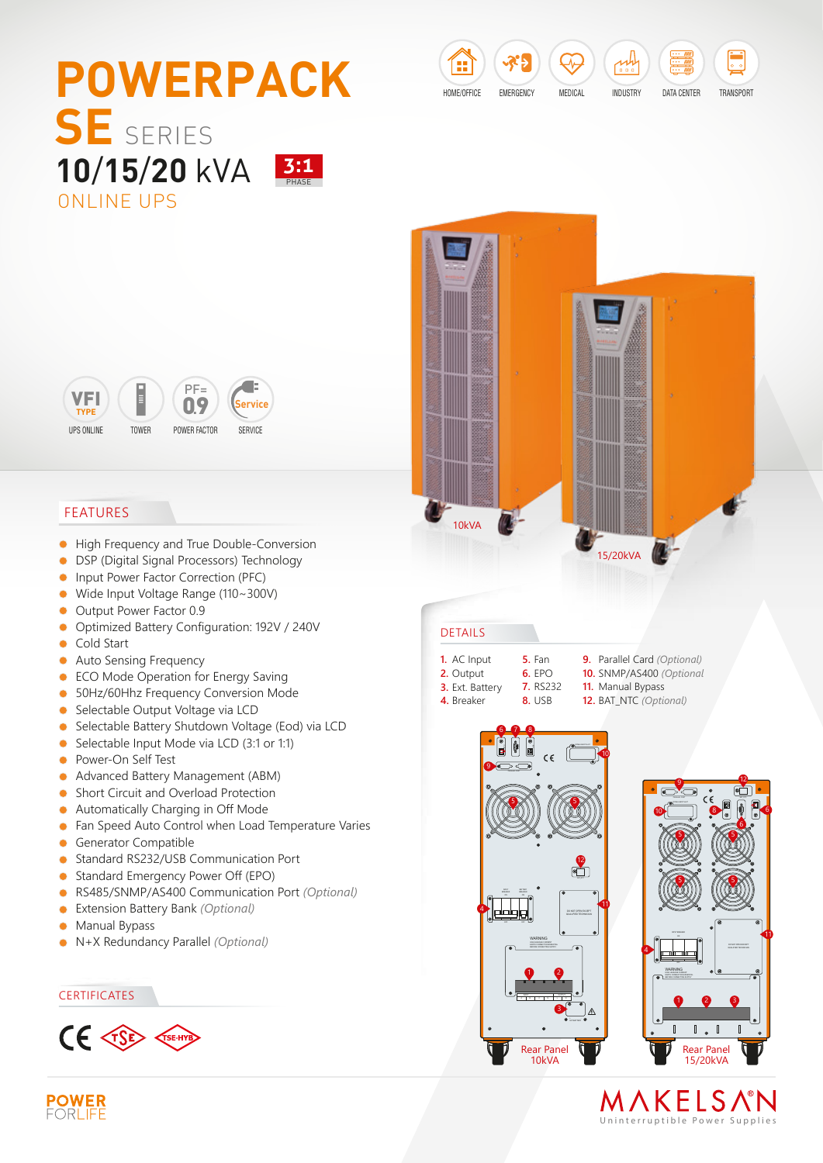





### FEATURES

- $\bullet$ High Frequency and True Double-Conversion
- DSP (Digital Signal Processors) Technology  $\bullet$
- Input Power Factor Correction (PFC)  $\bullet$
- Wide Input Voltage Range (110~300V)  $\bullet$
- Output Power Factor 0.9  $\bullet$
- Optimized Battery Configuration: 192V / 240V  $\bullet$
- Cold Start  $\bullet$
- **Auto Sensing Frequency**
- **ECO Mode Operation for Energy Saving**
- 50Hz/60Hhz Frequency Conversion Mode
- Selectable Output Voltage via LCD
- Selectable Battery Shutdown Voltage (Eod) via LCD  $\bullet$
- Selectable Input Mode via LCD (3:1 or 1:1)  $\bullet$
- Power-On Self Test  $\bullet$
- Advanced Battery Management (ABM)  $\bullet$
- Short Circuit and Overload Protection  $\bullet$
- Automatically Charging in Off Mode  $\bullet$
- $\bullet$ Fan Speed Auto Control when Load Temperature Varies
- Generator Compatible  $\bullet$
- Standard RS232/USB Communication Port  $\bullet$
- Standard Emergency Power Off (EPO)  $\bullet$
- RS485/SNMP/AS400 Communication Port *(Optional)*  $\bullet$
- Extension Battery Bank *(Optional)*  $\bullet$
- $\bullet$ Manual Bypass
- N+X Redundancy Parallel *(Optional)*  $\bullet$

#### **CERTIFICATES**





#### DETAILS

- **1.** AC Input
- **2.** Output **3.** Ext. Battery **4.** Breaker
- **5.** Fan **6.** EPO **7.** RS232 **8.** USB **9.** Parallel Card *(Optional)* **10.** SNMP/AS400 *(Optional* **11.** Manual Bypass
	- **12.** BAT\_NTC *(Optional)*





MAKELSAN Uninterruptible Power Supplie s